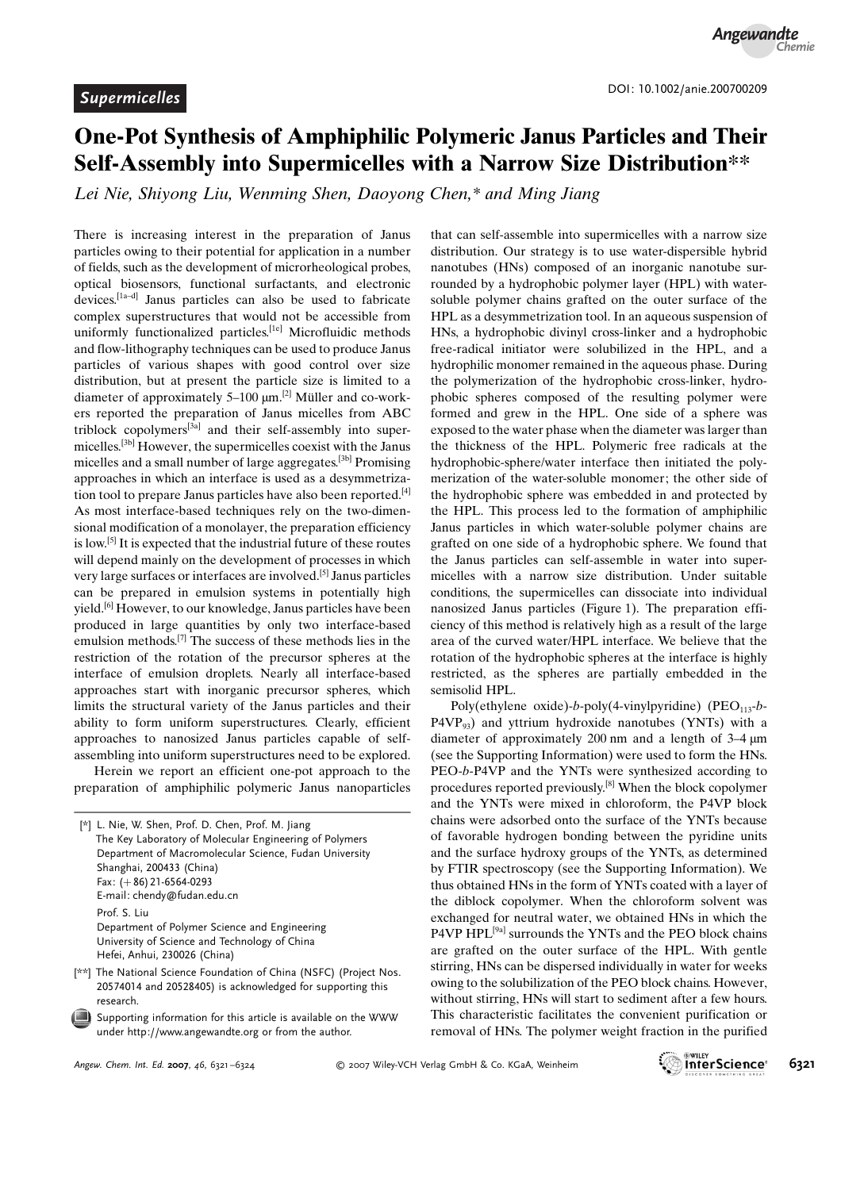### One-Pot Synthesis of Amphiphilic Polymeric Janus Particles and Their Self-Assembly into Supermicelles with a Narrow Size Distribution\*\*

Lei Nie, Shiyong Liu, Wenming Shen, Daoyong Chen,\* and Ming Jiang

There is increasing interest in the preparation of Janus particles owing to their potential for application in a number of fields, such as the development of microrheological probes, optical biosensors, functional surfactants, and electronic devices.[1a–d] Janus particles can also be used to fabricate complex superstructures that would not be accessible from uniformly functionalized particles.<sup>[1e]</sup> Microfluidic methods and flow-lithography techniques can be used to produce Janus particles of various shapes with good control over size distribution, but at present the particle size is limited to a diameter of approximately  $5-100 \mu m$ .<sup>[2]</sup> Müller and co-workers reported the preparation of Janus micelles from ABC triblock copolymers<sup>[3a]</sup> and their self-assembly into supermicelles.[3b] However, the supermicelles coexist with the Janus micelles and a small number of large aggregates.[3b] Promising approaches in which an interface is used as a desymmetrization tool to prepare Janus particles have also been reported.[4] As most interface-based techniques rely on the two-dimensional modification of a monolayer, the preparation efficiency is low.[5] It is expected that the industrial future of these routes will depend mainly on the development of processes in which very large surfaces or interfaces are involved.[5] Janus particles can be prepared in emulsion systems in potentially high yield.<sup>[6]</sup> However, to our knowledge, Janus particles have been produced in large quantities by only two interface-based emulsion methods.<sup>[7]</sup> The success of these methods lies in the restriction of the rotation of the precursor spheres at the interface of emulsion droplets. Nearly all interface-based approaches start with inorganic precursor spheres, which limits the structural variety of the Janus particles and their ability to form uniform superstructures. Clearly, efficient approaches to nanosized Janus particles capable of selfassembling into uniform superstructures need to be explored.

Herein we report an efficient one-pot approach to the preparation of amphiphilic polymeric Janus nanoparticles

| [*] L. Nie, W. Shen, Prof. D. Chen, Prof. M. Jiang              |
|-----------------------------------------------------------------|
| The Key Laboratory of Molecular Engineering of Polymers         |
| Department of Macromolecular Science, Fudan University          |
| Shanghai, 200433 (China)                                        |
| Fax: $(+86)$ 21-6564-0293                                       |
| E-mail: chendy@fudan.edu.cn                                     |
| Prof. S. Liu                                                    |
| Department of Polymer Science and Engineering                   |
| University of Science and Technology of China                   |
| Hefei, Anhui, 230026 (China)                                    |
| [**] The National Science Foundation of China (NSEC) (Project I |

- (NSFC) (Project Nos. 20574014 and 20528405) is acknowledged for supporting this research.
	- Supporting information for this article is available on the WWW under http://www.angewandte.org or from the author.

that can self-assemble into supermicelles with a narrow size distribution. Our strategy is to use water-dispersible hybrid nanotubes (HNs) composed of an inorganic nanotube surrounded by a hydrophobic polymer layer (HPL) with watersoluble polymer chains grafted on the outer surface of the HPL as a desymmetrization tool. In an aqueous suspension of HNs, a hydrophobic divinyl cross-linker and a hydrophobic free-radical initiator were solubilized in the HPL, and a hydrophilic monomer remained in the aqueous phase. During the polymerization of the hydrophobic cross-linker, hydrophobic spheres composed of the resulting polymer were formed and grew in the HPL. One side of a sphere was exposed to the water phase when the diameter was larger than the thickness of the HPL. Polymeric free radicals at the hydrophobic-sphere/water interface then initiated the polymerization of the water-soluble monomer; the other side of the hydrophobic sphere was embedded in and protected by the HPL. This process led to the formation of amphiphilic Janus particles in which water-soluble polymer chains are grafted on one side of a hydrophobic sphere. We found that the Janus particles can self-assemble in water into supermicelles with a narrow size distribution. Under suitable conditions, the supermicelles can dissociate into individual nanosized Janus particles (Figure 1). The preparation efficiency of this method is relatively high as a result of the large area of the curved water/HPL interface. We believe that the rotation of the hydrophobic spheres at the interface is highly restricted, as the spheres are partially embedded in the semisolid HPL.

Poly(ethylene oxide)-b-poly(4-vinylpyridine) (PEO $_{113}$ -b- $P4VP<sub>93</sub>$ ) and yttrium hydroxide nanotubes (YNTs) with a diameter of approximately 200 nm and a length of 3–4  $\mu$ m (see the Supporting Information) were used to form the HNs. PEO-b-P4VP and the YNTs were synthesized according to procedures reported previously.[8] When the block copolymer and the YNTs were mixed in chloroform, the P4VP block chains were adsorbed onto the surface of the YNTs because of favorable hydrogen bonding between the pyridine units and the surface hydroxy groups of the YNTs, as determined by FTIR spectroscopy (see the Supporting Information). We thus obtained HNs in the form of YNTs coated with a layer of the diblock copolymer. When the chloroform solvent was exchanged for neutral water, we obtained HNs in which the P4VP HPL<sup>[9a]</sup> surrounds the YNTs and the PEO block chains are grafted on the outer surface of the HPL. With gentle stirring, HNs can be dispersed individually in water for weeks owing to the solubilization of the PEO block chains. However, without stirring, HNs will start to sediment after a few hours. This characteristic facilitates the convenient purification or removal of HNs. The polymer weight fraction in the purified

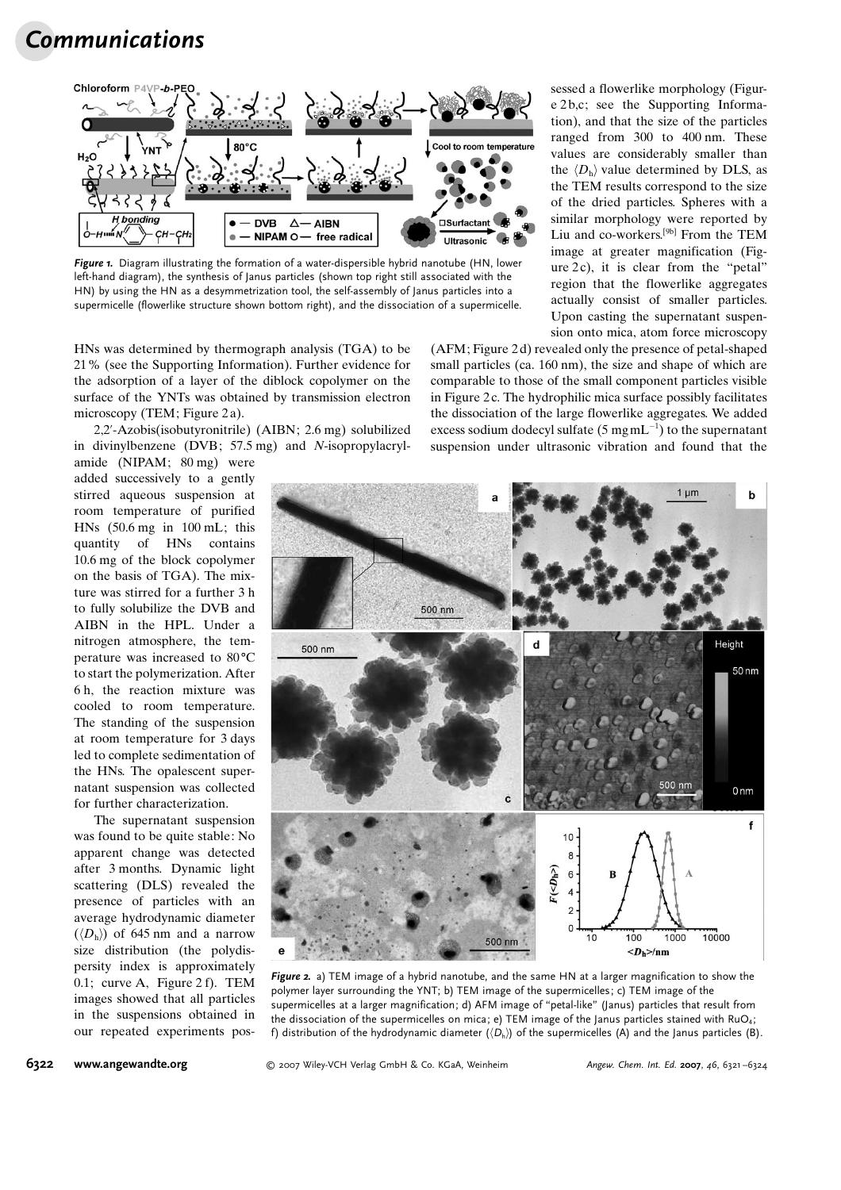# Communications



Figure 1. Diagram illustrating the formation of a water-dispersible hybrid nanotube (HN, lower left-hand diagram), the synthesis of Janus particles (shown top right still associated with the HN) by using the HN as a desymmetrization tool, the self-assembly of Janus particles into a supermicelle (flowerlike structure shown bottom right), and the dissociation of a supermicelle.

HNs was determined by thermograph analysis (TGA) to be 21% (see the Supporting Information). Further evidence for the adsorption of a layer of the diblock copolymer on the surface of the YNTs was obtained by transmission electron microscopy (TEM; Figure 2a).

2,2'-Azobis(isobutyronitrile) (AIBN; 2.6 mg) solubilized in divinylbenzene (DVB; 57.5 mg) and N-isopropylacrylsessed a flowerlike morphology (Figure 2 b,c; see the Supporting Information), and that the size of the particles ranged from 300 to 400 nm. These values are considerably smaller than the  $\langle D_{h} \rangle$  value determined by DLS, as the TEM results correspond to the size of the dried particles. Spheres with a similar morphology were reported by Liu and co-workers.[9b] From the TEM image at greater magnification (Figure 2c), it is clear from the "petal" region that the flowerlike aggregates actually consist of smaller particles. Upon casting the supernatant suspension onto mica, atom force microscopy

(AFM; Figure 2 d) revealed only the presence of petal-shaped small particles (ca. 160 nm), the size and shape of which are comparable to those of the small component particles visible in Figure 2 c. The hydrophilic mica surface possibly facilitates the dissociation of the large flowerlike aggregates. We added excess sodium dodecyl sulfate  $(5 \text{ mg} \text{m} \text{L}^{-1})$  to the supernatant suspension under ultrasonic vibration and found that the

amide (NIPAM; 80 mg) were added successively to a gently stirred aqueous suspension at room temperature of purified HNs (50.6 mg in 100 mL; this quantity of HNs contains 10.6 mg of the block copolymer on the basis of TGA). The mixture was stirred for a further 3 h to fully solubilize the DVB and AIBN in the HPL. Under a nitrogen atmosphere, the temperature was increased to  $80^{\circ}$ C to start the polymerization. After 6 h, the reaction mixture was cooled to room temperature. The standing of the suspension at room temperature for 3 days led to complete sedimentation of the HNs. The opalescent supernatant suspension was collected for further characterization.

The supernatant suspension was found to be quite stable: No apparent change was detected after 3 months. Dynamic light scattering (DLS) revealed the presence of particles with an average hydrodynamic diameter  $(\langle D_{h} \rangle)$  of 645 nm and a narrow size distribution (the polydispersity index is approximately 0.1; curve A, Figure 2 f). TEM images showed that all particles in the suspensions obtained in our repeated experiments pos-



Figure 2. a) TEM image of a hybrid nanotube, and the same HN at a larger magnification to show the polymer layer surrounding the YNT; b) TEM image of the supermicelles; c) TEM image of the supermicelles at a larger magnification; d) AFM image of "petal-like" (Janus) particles that result from the dissociation of the supermicelles on mica; e) TEM image of the Janus particles stained with  $RuO<sub>4</sub>$ ; f) distribution of the hydrodynamic diameter  $(\langle D_h \rangle)$  of the supermicelles (A) and the Janus particles (B).

6322 [www.angewandte.org](http://www.angewandte.org) **COMBANG ANGLIFY-ON CONTREGAL ACCA**, Weinheim Angew. Chem. Int. Ed. 2007, 46, 6321-6324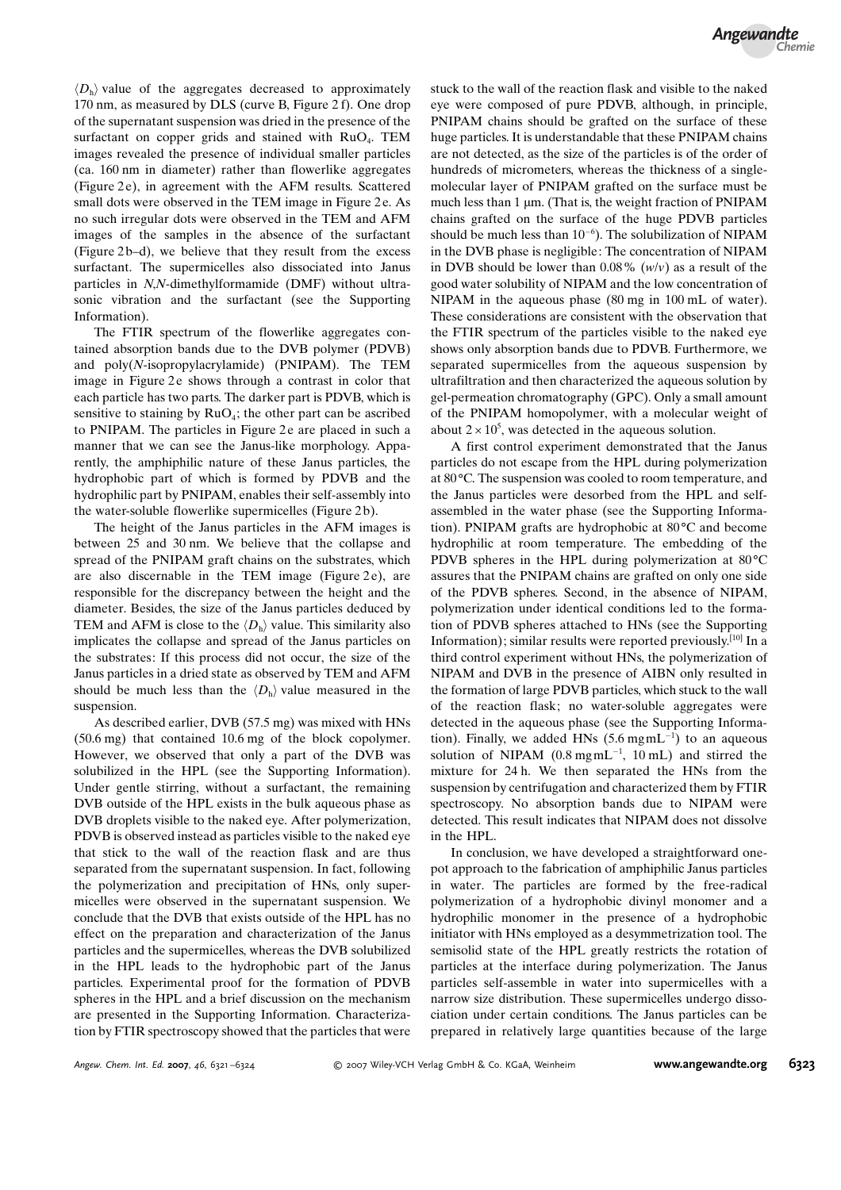$\langle D_{h} \rangle$  value of the aggregates decreased to approximately 170 nm, as measured by DLS (curve B, Figure 2 f). One drop of the supernatant suspension was dried in the presence of the surfactant on copper grids and stained with RuO4. TEM images revealed the presence of individual smaller particles (ca. 160 nm in diameter) rather than flowerlike aggregates (Figure 2 $e$ ), in agreement with the AFM results. Scattered small dots were observed in the TEM image in Figure 2e. As no such irregular dots were observed in the TEM and AFM images of the samples in the absence of the surfactant (Figure 2 b–d), we believe that they result from the excess surfactant. The supermicelles also dissociated into Janus particles in N,N-dimethylformamide (DMF) without ultrasonic vibration and the surfactant (see the Supporting Information).

The FTIR spectrum of the flowerlike aggregates contained absorption bands due to the DVB polymer (PDVB) and poly(N-isopropylacrylamide) (PNIPAM). The TEM image in Figure 2e shows through a contrast in color that each particle has two parts. The darker part is PDVB, which is sensitive to staining by  $RuO<sub>4</sub>$ ; the other part can be ascribed to PNIPAM. The particles in Figure 2e are placed in such a manner that we can see the Janus-like morphology. Apparently, the amphiphilic nature of these Janus particles, the hydrophobic part of which is formed by PDVB and the hydrophilic part by PNIPAM, enables their self-assembly into the water-soluble flowerlike supermicelles (Figure 2b).

The height of the Janus particles in the AFM images is between 25 and 30 nm. We believe that the collapse and spread of the PNIPAM graft chains on the substrates, which are also discernable in the TEM image (Figure 2 $e$ ), are responsible for the discrepancy between the height and the diameter. Besides, the size of the Janus particles deduced by TEM and AFM is close to the  $\langle D_h \rangle$  value. This similarity also implicates the collapse and spread of the Janus particles on the substrates: If this process did not occur, the size of the Janus particles in a dried state as observed by TEM and AFM should be much less than the  $\langle D_h \rangle$  value measured in the suspension.

As described earlier, DVB (57.5 mg) was mixed with HNs (50.6 mg) that contained 10.6 mg of the block copolymer. However, we observed that only a part of the DVB was solubilized in the HPL (see the Supporting Information). Under gentle stirring, without a surfactant, the remaining DVB outside of the HPL exists in the bulk aqueous phase as DVB droplets visible to the naked eye. After polymerization, PDVB is observed instead as particles visible to the naked eye that stick to the wall of the reaction flask and are thus separated from the supernatant suspension. In fact, following the polymerization and precipitation of HNs, only supermicelles were observed in the supernatant suspension. We conclude that the DVB that exists outside of the HPL has no effect on the preparation and characterization of the Janus particles and the supermicelles, whereas the DVB solubilized in the HPL leads to the hydrophobic part of the Janus particles. Experimental proof for the formation of PDVB spheres in the HPL and a brief discussion on the mechanism are presented in the Supporting Information. Characterization by FTIR spectroscopy showed that the particles that were stuck to the wall of the reaction flask and visible to the naked eye were composed of pure PDVB, although, in principle, PNIPAM chains should be grafted on the surface of these huge particles. It is understandable that these PNIPAM chains are not detected, as the size of the particles is of the order of hundreds of micrometers, whereas the thickness of a singlemolecular layer of PNIPAM grafted on the surface must be much less than  $1 \mu m$ . (That is, the weight fraction of PNIPAM chains grafted on the surface of the huge PDVB particles should be much less than  $10^{-6}$ ). The solubilization of NIPAM in the DVB phase is negligible: The concentration of NIPAM in DVB should be lower than  $0.08\%$  (w/v) as a result of the good water solubility of NIPAMand the low concentration of NIPAM in the aqueous phase (80 mg in 100 mL of water). These considerations are consistent with the observation that the FTIR spectrum of the particles visible to the naked eye shows only absorption bands due to PDVB. Furthermore, we separated supermicelles from the aqueous suspension by ultrafiltration and then characterized the aqueous solution by gel-permeation chromatography (GPC). Only a small amount of the PNIPAM homopolymer, with a molecular weight of about  $2 \times 10^5$ , was detected in the aqueous solution.

A first control experiment demonstrated that the Janus particles do not escape from the HPL during polymerization at 80 °C. The suspension was cooled to room temperature, and the Janus particles were desorbed from the HPL and selfassembled in the water phase (see the Supporting Information). PNIPAM grafts are hydrophobic at  $80^{\circ}$ C and become hydrophilic at room temperature. The embedding of the PDVB spheres in the HPL during polymerization at  $80^{\circ}$ C assures that the PNIPAM chains are grafted on only one side of the PDVB spheres. Second, in the absence of NIPAM, polymerization under identical conditions led to the formation of PDVB spheres attached to HNs (see the Supporting Information); similar results were reported previously.[10] In a third control experiment without HNs, the polymerization of NIPAMand DVB in the presence of AIBN only resulted in the formation of large PDVB particles, which stuck to the wall of the reaction flask; no water-soluble aggregates were detected in the aqueous phase (see the Supporting Information). Finally, we added HNs  $(5.6 \text{ mmL}^{-1})$  to an aqueous solution of NIPAM  $(0.8 \text{ mgmL}^{-1}, 10 \text{ mL})$  and stirred the mixture for 24 h. We then separated the HNs from the suspension by centrifugation and characterized them by FTIR spectroscopy. No absorption bands due to NIPAM were detected. This result indicates that NIPAM does not dissolve in the HPL.

In conclusion, we have developed a straightforward onepot approach to the fabrication of amphiphilic Janus particles in water. The particles are formed by the free-radical polymerization of a hydrophobic divinyl monomer and a hydrophilic monomer in the presence of a hydrophobic initiator with HNs employed as a desymmetrization tool. The semisolid state of the HPL greatly restricts the rotation of particles at the interface during polymerization. The Janus particles self-assemble in water into supermicelles with a narrow size distribution. These supermicelles undergo dissociation under certain conditions. The Janus particles can be prepared in relatively large quantities because of the large